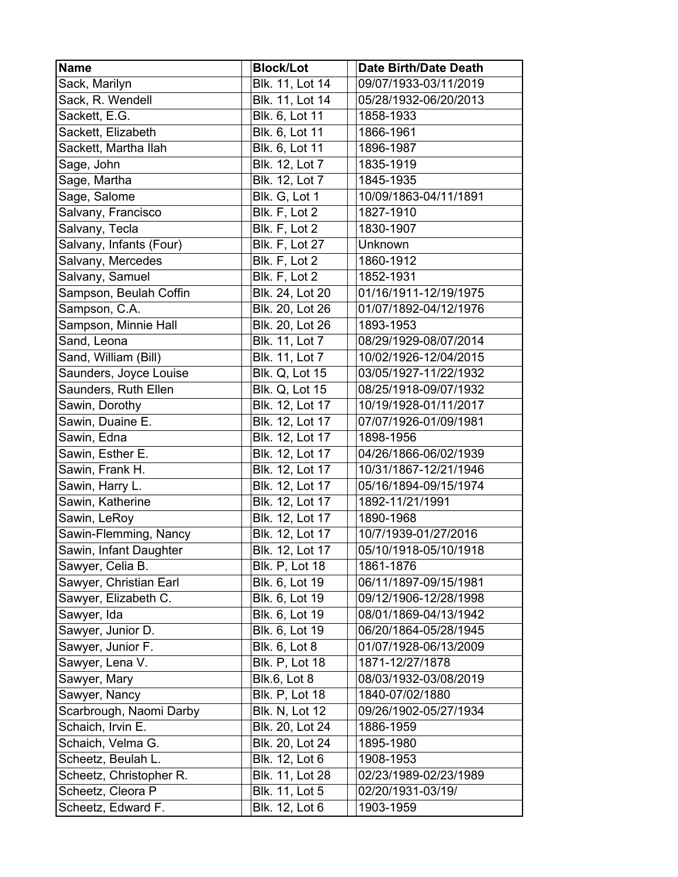| <b>Name</b>             | <b>Block/Lot</b>      | <b>Date Birth/Date Death</b> |
|-------------------------|-----------------------|------------------------------|
| Sack, Marilyn           | Blk. 11, Lot 14       | 09/07/1933-03/11/2019        |
| Sack, R. Wendell        | Blk. 11, Lot 14       | 05/28/1932-06/20/2013        |
| Sackett, E.G.           | Blk. 6, Lot 11        | 1858-1933                    |
| Sackett, Elizabeth      | Blk. 6, Lot 11        | 1866-1961                    |
| Sackett, Martha Ilah    | Blk. 6, Lot 11        | 1896-1987                    |
| Sage, John              | Blk. 12, Lot 7        | 1835-1919                    |
| Sage, Martha            | Blk. 12, Lot 7        | 1845-1935                    |
| Sage, Salome            | Blk. G, Lot 1         | 10/09/1863-04/11/1891        |
| Salvany, Francisco      | Blk. F, Lot 2         | 1827-1910                    |
| Salvany, Tecla          | Blk. F, Lot 2         | 1830-1907                    |
| Salvany, Infants (Four) | <b>Blk. F, Lot 27</b> | Unknown                      |
| Salvany, Mercedes       | Blk. F, Lot 2         | 1860-1912                    |
| Salvany, Samuel         | Blk. F, Lot 2         | 1852-1931                    |
| Sampson, Beulah Coffin  | Blk. 24, Lot 20       | 01/16/1911-12/19/1975        |
| Sampson, C.A.           | Blk. 20, Lot 26       | 01/07/1892-04/12/1976        |
| Sampson, Minnie Hall    | Blk. 20, Lot 26       | 1893-1953                    |
| Sand, Leona             | Blk. 11, Lot 7        | 08/29/1929-08/07/2014        |
| Sand, William (Bill)    | Blk. 11, Lot 7        | 10/02/1926-12/04/2015        |
| Saunders, Joyce Louise  | <b>Blk. Q, Lot 15</b> | 03/05/1927-11/22/1932        |
| Saunders, Ruth Ellen    | <b>Blk. Q, Lot 15</b> | 08/25/1918-09/07/1932        |
| Sawin, Dorothy          | Blk. 12, Lot 17       | 10/19/1928-01/11/2017        |
| Sawin, Duaine E.        | Blk. 12, Lot 17       | 07/07/1926-01/09/1981        |
| Sawin, Edna             | Blk. 12, Lot 17       | 1898-1956                    |
| Sawin, Esther E.        | Blk. 12, Lot 17       | 04/26/1866-06/02/1939        |
| Sawin, Frank H.         | Blk. 12, Lot 17       | 10/31/1867-12/21/1946        |
| Sawin, Harry L.         | Blk. 12, Lot 17       | 05/16/1894-09/15/1974        |
| Sawin, Katherine        | Blk. 12, Lot 17       | 1892-11/21/1991              |
| Sawin, LeRoy            | Blk. 12, Lot 17       | 1890-1968                    |
| Sawin-Flemming, Nancy   | Blk. 12, Lot 17       | 10/7/1939-01/27/2016         |
| Sawin, Infant Daughter  | Blk. 12, Lot 17       | 05/10/1918-05/10/1918        |
| Sawyer, Celia B.        | <b>Blk. P, Lot 18</b> | 1861-1876                    |
| Sawyer, Christian Earl  | Blk. 6, Lot 19        | 06/11/1897-09/15/1981        |
| Sawyer, Elizabeth C.    | Blk. 6, Lot 19        | 09/12/1906-12/28/1998        |
| Sawyer, Ida             | Blk. 6, Lot 19        | 08/01/1869-04/13/1942        |
| Sawyer, Junior D.       | Blk. 6, Lot 19        | 06/20/1864-05/28/1945        |
| Sawyer, Junior F.       | <b>Blk. 6, Lot 8</b>  | 01/07/1928-06/13/2009        |
| Sawyer, Lena V.         | <b>Blk. P, Lot 18</b> | 1871-12/27/1878              |
| Sawyer, Mary            | <b>Blk.6, Lot 8</b>   | 08/03/1932-03/08/2019        |
| Sawyer, Nancy           | <b>Blk. P, Lot 18</b> | 1840-07/02/1880              |
| Scarbrough, Naomi Darby | <b>Blk. N, Lot 12</b> | 09/26/1902-05/27/1934        |
| Schaich, Irvin E.       | Blk. 20, Lot 24       | 1886-1959                    |
| Schaich, Velma G.       | Blk. 20, Lot 24       | 1895-1980                    |
| Scheetz, Beulah L.      | Blk. 12, Lot 6        | 1908-1953                    |
| Scheetz, Christopher R. | Blk. 11, Lot 28       | 02/23/1989-02/23/1989        |
| Scheetz, Cleora P       | Blk. 11, Lot 5        | 02/20/1931-03/19/            |
| Scheetz, Edward F.      | Blk. 12, Lot 6        | 1903-1959                    |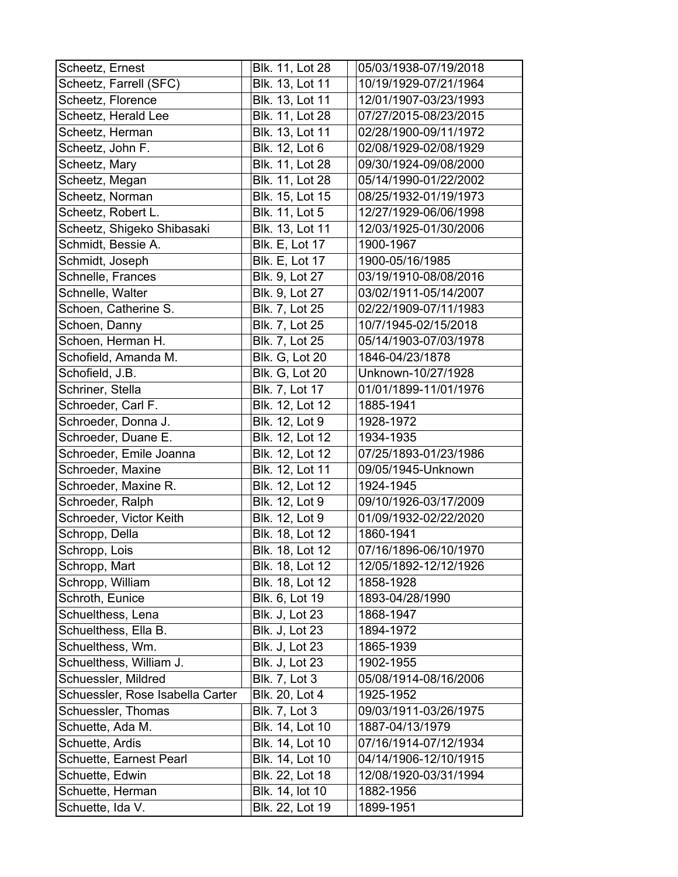| Scheetz, Ernest                  | Blk. 11, Lot 28       | 05/03/1938-07/19/2018 |
|----------------------------------|-----------------------|-----------------------|
| Scheetz, Farrell (SFC)           | Blk. 13, Lot 11       | 10/19/1929-07/21/1964 |
| Scheetz, Florence                | Blk. 13, Lot 11       | 12/01/1907-03/23/1993 |
| Scheetz, Herald Lee              | Blk. 11, Lot 28       | 07/27/2015-08/23/2015 |
| Scheetz, Herman                  | Blk. 13, Lot 11       | 02/28/1900-09/11/1972 |
| Scheetz, John F.                 | Blk. 12, Lot 6        | 02/08/1929-02/08/1929 |
| Scheetz, Mary                    | Blk. 11, Lot 28       | 09/30/1924-09/08/2000 |
| Scheetz, Megan                   | Blk. 11, Lot 28       | 05/14/1990-01/22/2002 |
| Scheetz, Norman                  | Blk. 15, Lot 15       | 08/25/1932-01/19/1973 |
| Scheetz, Robert L.               | Blk. 11, Lot 5        | 12/27/1929-06/06/1998 |
| Scheetz, Shigeko Shibasaki       | Blk. 13, Lot 11       | 12/03/1925-01/30/2006 |
| Schmidt, Bessie A.               | <b>Blk. E, Lot 17</b> | 1900-1967             |
| Schmidt, Joseph                  | <b>Blk. E, Lot 17</b> | 1900-05/16/1985       |
| Schnelle, Frances                | Blk. 9, Lot 27        | 03/19/1910-08/08/2016 |
| Schnelle, Walter                 | Blk. 9, Lot 27        | 03/02/1911-05/14/2007 |
| Schoen, Catherine S.             | Blk. 7, Lot 25        | 02/22/1909-07/11/1983 |
| Schoen, Danny                    | Blk. 7, Lot 25        | 10/7/1945-02/15/2018  |
| Schoen, Herman H.                | Blk. 7, Lot 25        | 05/14/1903-07/03/1978 |
| Schofield, Amanda M.             | <b>Blk. G, Lot 20</b> | 1846-04/23/1878       |
| Schofield, J.B.                  | <b>Blk. G, Lot 20</b> | Unknown-10/27/1928    |
| Schriner, Stella                 | Blk. 7, Lot 17        | 01/01/1899-11/01/1976 |
| Schroeder, Carl F.               | Blk. 12, Lot 12       | 1885-1941             |
| Schroeder, Donna J.              | Blk. 12, Lot 9        | 1928-1972             |
| Schroeder, Duane E.              | Blk. 12, Lot 12       | 1934-1935             |
| Schroeder, Emile Joanna          | Blk. 12, Lot 12       | 07/25/1893-01/23/1986 |
| Schroeder, Maxine                | Blk. 12, Lot 11       | 09/05/1945-Unknown    |
| Schroeder, Maxine R.             | Blk. 12, Lot 12       | 1924-1945             |
| Schroeder, Ralph                 | Blk. 12, Lot 9        | 09/10/1926-03/17/2009 |
| Schroeder, Victor Keith          | Blk. 12, Lot 9        | 01/09/1932-02/22/2020 |
| Schropp, Della                   | Blk. 18, Lot 12       | 1860-1941             |
| Schropp, Lois                    | Blk. 18, Lot 12       | 07/16/1896-06/10/1970 |
| Schropp, Mart                    | Blk. 18, Lot 12       | 12/05/1892-12/12/1926 |
| Schropp, William                 | Blk. 18, Lot 12       | 1858-1928             |
| Schroth, Eunice                  | Blk. 6, Lot 19        | 1893-04/28/1990       |
| Schuelthess, Lena                | <b>Blk. J, Lot 23</b> | 1868-1947             |
| Schuelthess, Ella B.             | <b>Blk. J, Lot 23</b> | 1894-1972             |
| Schuelthess, Wm.                 | Blk. J, Lot 23        | 1865-1939             |
| Schuelthess, William J.          | <b>Blk. J, Lot 23</b> | 1902-1955             |
| Schuessler, Mildred              | <b>Blk. 7, Lot 3</b>  | 05/08/1914-08/16/2006 |
| Schuessler, Rose Isabella Carter | Blk. 20, Lot 4        | 1925-1952             |
| Schuessler, Thomas               | <b>Blk. 7, Lot 3</b>  | 09/03/1911-03/26/1975 |
| Schuette, Ada M.                 | Blk. 14, Lot 10       | 1887-04/13/1979       |
| Schuette, Ardis                  | Blk. 14, Lot 10       | 07/16/1914-07/12/1934 |
| Schuette, Earnest Pearl          | Blk. 14, Lot 10       | 04/14/1906-12/10/1915 |
| Schuette, Edwin                  | Blk. 22, Lot 18       | 12/08/1920-03/31/1994 |
| Schuette, Herman                 | Blk. 14, lot 10       | 1882-1956             |
| Schuette, Ida V.                 | Blk. 22, Lot 19       | 1899-1951             |
|                                  |                       |                       |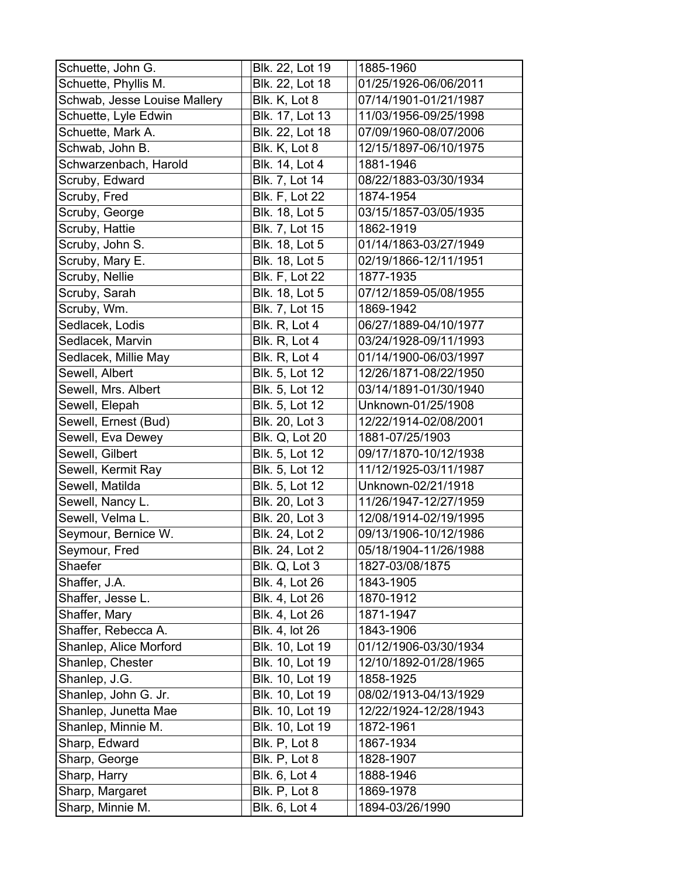| Schuette, John G.            | Blk. 22, Lot 19       | 1885-1960             |
|------------------------------|-----------------------|-----------------------|
| Schuette, Phyllis M.         | Blk. 22, Lot 18       | 01/25/1926-06/06/2011 |
| Schwab, Jesse Louise Mallery | Blk. K, Lot 8         | 07/14/1901-01/21/1987 |
| Schuette, Lyle Edwin         | Blk. 17, Lot 13       | 11/03/1956-09/25/1998 |
| Schuette, Mark A.            | Blk. 22, Lot 18       | 07/09/1960-08/07/2006 |
| Schwab, John B.              | Blk. K, Lot 8         | 12/15/1897-06/10/1975 |
| Schwarzenbach, Harold        | Blk. 14, Lot 4        | 1881-1946             |
| Scruby, Edward               | Blk. 7, Lot 14        | 08/22/1883-03/30/1934 |
| Scruby, Fred                 | <b>Blk. F, Lot 22</b> | 1874-1954             |
| Scruby, George               | Blk. 18, Lot 5        | 03/15/1857-03/05/1935 |
| Scruby, Hattie               | Blk. 7, Lot 15        | 1862-1919             |
| Scruby, John S.              | Blk. 18, Lot 5        | 01/14/1863-03/27/1949 |
| Scruby, Mary E.              | Blk. 18, Lot 5        | 02/19/1866-12/11/1951 |
| Scruby, Nellie               | <b>Blk. F, Lot 22</b> | 1877-1935             |
| Scruby, Sarah                | Blk. 18, Lot 5        | 07/12/1859-05/08/1955 |
| Scruby, Wm.                  | <b>Blk. 7, Lot 15</b> | 1869-1942             |
| Sedlacek, Lodis              | Blk. R, Lot 4         | 06/27/1889-04/10/1977 |
| Sedlacek, Marvin             | Blk. R, Lot 4         | 03/24/1928-09/11/1993 |
| Sedlacek, Millie May         | Blk. R, Lot 4         | 01/14/1900-06/03/1997 |
| Sewell, Albert               | Blk. 5, Lot 12        | 12/26/1871-08/22/1950 |
| Sewell, Mrs. Albert          | Blk. 5, Lot 12        | 03/14/1891-01/30/1940 |
| Sewell, Elepah               | Blk. 5, Lot 12        | Unknown-01/25/1908    |
| Sewell, Ernest (Bud)         | Blk. 20, Lot 3        | 12/22/1914-02/08/2001 |
| Sewell, Eva Dewey            | <b>Blk. Q, Lot 20</b> | 1881-07/25/1903       |
| Sewell, Gilbert              | Blk. 5, Lot 12        | 09/17/1870-10/12/1938 |
| Sewell, Kermit Ray           | Blk. 5, Lot 12        | 11/12/1925-03/11/1987 |
| Sewell, Matilda              | Blk. 5, Lot 12        | Unknown-02/21/1918    |
| Sewell, Nancy L.             | Blk. 20, Lot 3        | 11/26/1947-12/27/1959 |
| Sewell, Velma L.             | Blk. 20, Lot 3        | 12/08/1914-02/19/1995 |
| Seymour, Bernice W.          | Blk. 24, Lot 2        | 09/13/1906-10/12/1986 |
| Seymour, Fred                | Blk. 24, Lot 2        | 05/18/1904-11/26/1988 |
| Shaefer                      | Blk. Q, Lot 3         | 1827-03/08/1875       |
| Shaffer, J.A.                | <b>Blk. 4, Lot 26</b> | 1843-1905             |
| Shaffer, Jesse L.            | Blk. 4, Lot 26        | 1870-1912             |
| Shaffer, Mary                | Blk. 4, Lot 26        | 1871-1947             |
| Shaffer, Rebecca A.          | Blk. 4, lot 26        | 1843-1906             |
| Shanlep, Alice Morford       | Blk. 10, Lot 19       | 01/12/1906-03/30/1934 |
| Shanlep, Chester             | Blk. 10, Lot 19       | 12/10/1892-01/28/1965 |
| Shanlep, J.G.                | Blk. 10, Lot 19       | 1858-1925             |
| Shanlep, John G. Jr.         | Blk. 10, Lot 19       | 08/02/1913-04/13/1929 |
| Shanlep, Junetta Mae         | Blk. 10, Lot 19       | 12/22/1924-12/28/1943 |
| Shanlep, Minnie M.           | Blk. 10, Lot 19       | 1872-1961             |
| Sharp, Edward                | Blk. P, Lot 8         | 1867-1934             |
| Sharp, George                | Blk. P, Lot 8         | 1828-1907             |
| Sharp, Harry                 | Blk. 6, Lot 4         | 1888-1946             |
| Sharp, Margaret              | Blk. P, Lot 8         | 1869-1978             |
| Sharp, Minnie M.             | Blk. 6, Lot 4         | 1894-03/26/1990       |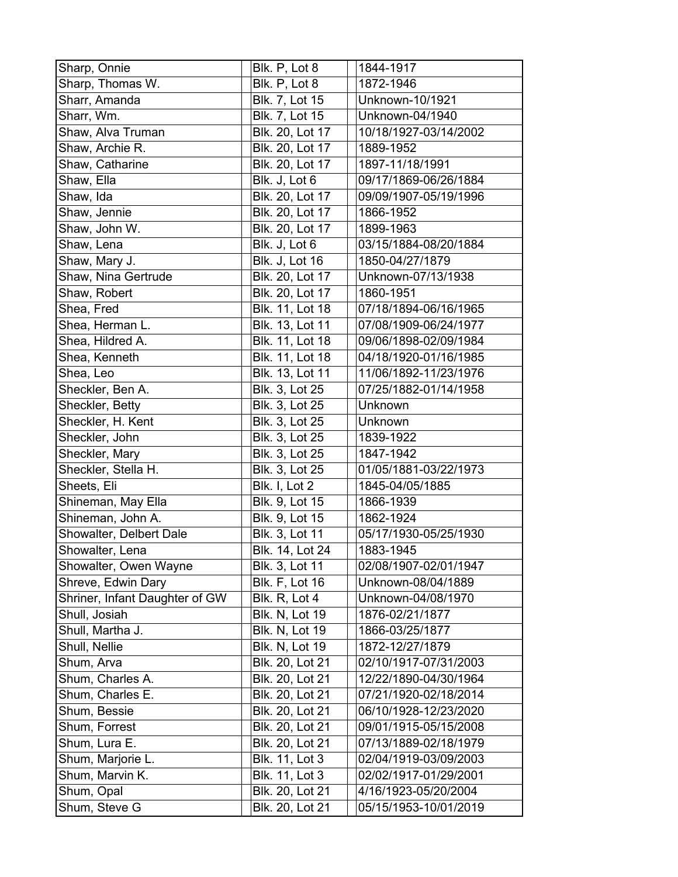| Sharp, Onnie                   | Blk. P, Lot 8         | 1844-1917             |
|--------------------------------|-----------------------|-----------------------|
| Sharp, Thomas W.               | Blk. P, Lot 8         | 1872-1946             |
| Sharr, Amanda                  | Blk. 7, Lot 15        | Unknown-10/1921       |
| Sharr, Wm.                     | Blk. 7, Lot 15        | Unknown-04/1940       |
| Shaw, Alva Truman              | Blk. 20, Lot 17       | 10/18/1927-03/14/2002 |
| Shaw, Archie R.                | Blk. 20, Lot 17       | 1889-1952             |
| Shaw, Catharine                | Blk. 20, Lot 17       | 1897-11/18/1991       |
| Shaw, Ella                     | Blk. J, Lot 6         | 09/17/1869-06/26/1884 |
| Shaw, Ida                      | Blk. 20, Lot 17       | 09/09/1907-05/19/1996 |
| Shaw, Jennie                   | Blk. 20, Lot 17       | 1866-1952             |
| Shaw, John W.                  | Blk. 20, Lot 17       | 1899-1963             |
| Shaw, Lena                     | Blk. J, Lot 6         | 03/15/1884-08/20/1884 |
| Shaw, Mary J.                  | <b>Blk. J, Lot 16</b> | 1850-04/27/1879       |
| Shaw, Nina Gertrude            | Blk. 20, Lot 17       | Unknown-07/13/1938    |
| Shaw, Robert                   | Blk. 20, Lot 17       | 1860-1951             |
| Shea, Fred                     | Blk. 11, Lot 18       | 07/18/1894-06/16/1965 |
| Shea, Herman L.                | Blk. 13, Lot 11       | 07/08/1909-06/24/1977 |
| Shea, Hildred A.               | Blk. 11, Lot 18       | 09/06/1898-02/09/1984 |
| Shea, Kenneth                  | Blk. 11, Lot 18       | 04/18/1920-01/16/1985 |
| Shea, Leo                      | Blk. 13, Lot 11       | 11/06/1892-11/23/1976 |
| Sheckler, Ben A.               | Blk. 3, Lot 25        | 07/25/1882-01/14/1958 |
| Sheckler, Betty                | Blk. 3, Lot 25        | Unknown               |
| Sheckler, H. Kent              | Blk. 3, Lot 25        | Unknown               |
| Sheckler, John                 | Blk. 3, Lot 25        | 1839-1922             |
| Sheckler, Mary                 | Blk. 3, Lot 25        | 1847-1942             |
| Sheckler, Stella H.            | Blk. 3, Lot 25        | 01/05/1881-03/22/1973 |
| Sheets, Eli                    | Blk. I, Lot 2         | 1845-04/05/1885       |
| Shineman, May Ella             | Blk. 9, Lot 15        | 1866-1939             |
| Shineman, John A.              | Blk. 9, Lot 15        | 1862-1924             |
| Showalter, Delbert Dale        | Blk. 3, Lot 11        | 05/17/1930-05/25/1930 |
| Showalter, Lena                | Blk. 14, Lot 24       | 1883-1945             |
| Showalter, Owen Wayne          | Blk. 3, Lot 11        | 02/08/1907-02/01/1947 |
| Shreve, Edwin Dary             | <b>Blk. F, Lot 16</b> | Unknown-08/04/1889    |
| Shriner, Infant Daughter of GW | Blk. R, Lot 4         | Unknown-04/08/1970    |
| Shull, Josiah                  | <b>Blk. N, Lot 19</b> | 1876-02/21/1877       |
| Shull, Martha J.               | <b>Blk. N, Lot 19</b> | 1866-03/25/1877       |
| Shull, Nellie                  | <b>Blk. N, Lot 19</b> | 1872-12/27/1879       |
| Shum, Arva                     | Blk. 20, Lot 21       | 02/10/1917-07/31/2003 |
| Shum, Charles A.               | Blk. 20, Lot 21       | 12/22/1890-04/30/1964 |
| Shum, Charles E.               | Blk. 20, Lot 21       | 07/21/1920-02/18/2014 |
| Shum, Bessie                   | Blk. 20, Lot 21       | 06/10/1928-12/23/2020 |
| Shum, Forrest                  | Blk. 20, Lot 21       | 09/01/1915-05/15/2008 |
| Shum, Lura E.                  | Blk. 20, Lot 21       | 07/13/1889-02/18/1979 |
| Shum, Marjorie L.              | <b>Blk. 11, Lot 3</b> | 02/04/1919-03/09/2003 |
| Shum, Marvin K.                | Blk. 11, Lot 3        | 02/02/1917-01/29/2001 |
| Shum, Opal                     | Blk. 20, Lot 21       | 4/16/1923-05/20/2004  |
| Shum, Steve G                  | Blk. 20, Lot 21       | 05/15/1953-10/01/2019 |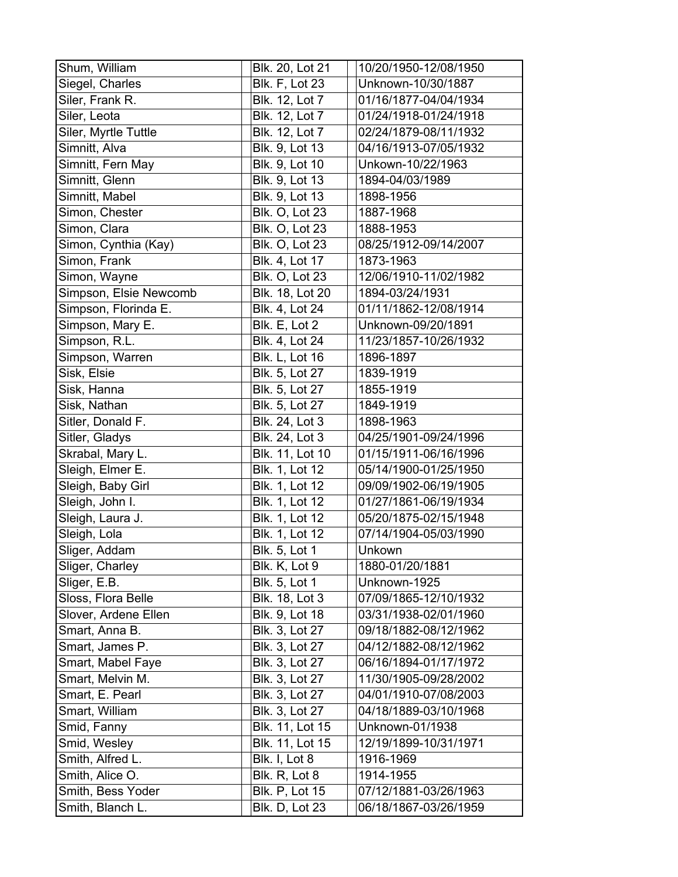| Shum, William          | Blk. 20, Lot 21       | 10/20/1950-12/08/1950 |
|------------------------|-----------------------|-----------------------|
| Siegel, Charles        | <b>Blk. F, Lot 23</b> | Unknown-10/30/1887    |
| Siler, Frank R.        | Blk. 12, Lot 7        | 01/16/1877-04/04/1934 |
| Siler, Leota           | Blk. 12, Lot 7        | 01/24/1918-01/24/1918 |
| Siler, Myrtle Tuttle   | Blk. 12, Lot 7        | 02/24/1879-08/11/1932 |
| Simnitt, Alva          | Blk. 9, Lot 13        | 04/16/1913-07/05/1932 |
| Simnitt, Fern May      | Blk. 9, Lot 10        | Unkown-10/22/1963     |
| Simnitt, Glenn         | Blk. 9, Lot 13        | 1894-04/03/1989       |
| Simnitt, Mabel         | Blk. 9, Lot 13        | 1898-1956             |
| Simon, Chester         | <b>Blk. O, Lot 23</b> | 1887-1968             |
| Simon, Clara           | Blk. O, Lot 23        | 1888-1953             |
| Simon, Cynthia (Kay)   | <b>Blk. O, Lot 23</b> | 08/25/1912-09/14/2007 |
| Simon, Frank           | Blk. 4, Lot 17        | 1873-1963             |
| Simon, Wayne           | <b>Blk. O, Lot 23</b> | 12/06/1910-11/02/1982 |
| Simpson, Elsie Newcomb | Blk. 18, Lot 20       | 1894-03/24/1931       |
| Simpson, Florinda E.   | Blk. 4, Lot 24        | 01/11/1862-12/08/1914 |
| Simpson, Mary E.       | Blk. E, Lot 2         | Unknown-09/20/1891    |
| Simpson, R.L.          | Blk. 4, Lot 24        | 11/23/1857-10/26/1932 |
| Simpson, Warren        | <b>Blk. L, Lot 16</b> | 1896-1897             |
| Sisk, Elsie            | Blk. 5, Lot 27        | 1839-1919             |
| Sisk, Hanna            | Blk. 5, Lot 27        | 1855-1919             |
| Sisk, Nathan           | Blk. 5, Lot 27        | 1849-1919             |
| Sitler, Donald F.      | Blk. 24, Lot 3        | 1898-1963             |
| Sitler, Gladys         | Blk. 24, Lot 3        | 04/25/1901-09/24/1996 |
| Skrabal, Mary L.       | Blk. 11, Lot 10       | 01/15/1911-06/16/1996 |
| Sleigh, Elmer E.       | Blk. 1, Lot 12        | 05/14/1900-01/25/1950 |
| Sleigh, Baby Girl      | Blk. 1, Lot 12        | 09/09/1902-06/19/1905 |
| Sleigh, John I.        | Blk. 1, Lot 12        | 01/27/1861-06/19/1934 |
| Sleigh, Laura J.       | Blk. 1, Lot 12        | 05/20/1875-02/15/1948 |
| Sleigh, Lola           | <b>Blk. 1, Lot 12</b> | 07/14/1904-05/03/1990 |
| Sliger, Addam          | Blk. 5, Lot 1         | Unkown                |
| Sliger, Charley        | Blk. K, Lot 9         | 1880-01/20/1881       |
| Sliger, E.B.           | Blk. 5, Lot 1         | Unknown-1925          |
| Sloss, Flora Belle     | Blk. 18, Lot 3        | 07/09/1865-12/10/1932 |
| Slover, Ardene Ellen   | Blk. 9, Lot 18        | 03/31/1938-02/01/1960 |
| Smart, Anna B.         | Blk. 3, Lot 27        | 09/18/1882-08/12/1962 |
| Smart, James P.        | Blk. 3, Lot 27        | 04/12/1882-08/12/1962 |
| Smart, Mabel Faye      | Blk. 3, Lot 27        | 06/16/1894-01/17/1972 |
| Smart, Melvin M.       | Blk. 3, Lot 27        | 11/30/1905-09/28/2002 |
| Smart, E. Pearl        | Blk. 3, Lot 27        | 04/01/1910-07/08/2003 |
| Smart, William         | Blk. 3, Lot 27        | 04/18/1889-03/10/1968 |
| Smid, Fanny            | Blk. 11, Lot 15       | Unknown-01/1938       |
| Smid, Wesley           | Blk. 11, Lot 15       | 12/19/1899-10/31/1971 |
| Smith, Alfred L.       | Blk. I, Lot 8         | 1916-1969             |
| Smith, Alice O.        | Blk. R, Lot 8         | 1914-1955             |
| Smith, Bess Yoder      | <b>Blk. P, Lot 15</b> | 07/12/1881-03/26/1963 |
| Smith, Blanch L.       | <b>Blk. D, Lot 23</b> | 06/18/1867-03/26/1959 |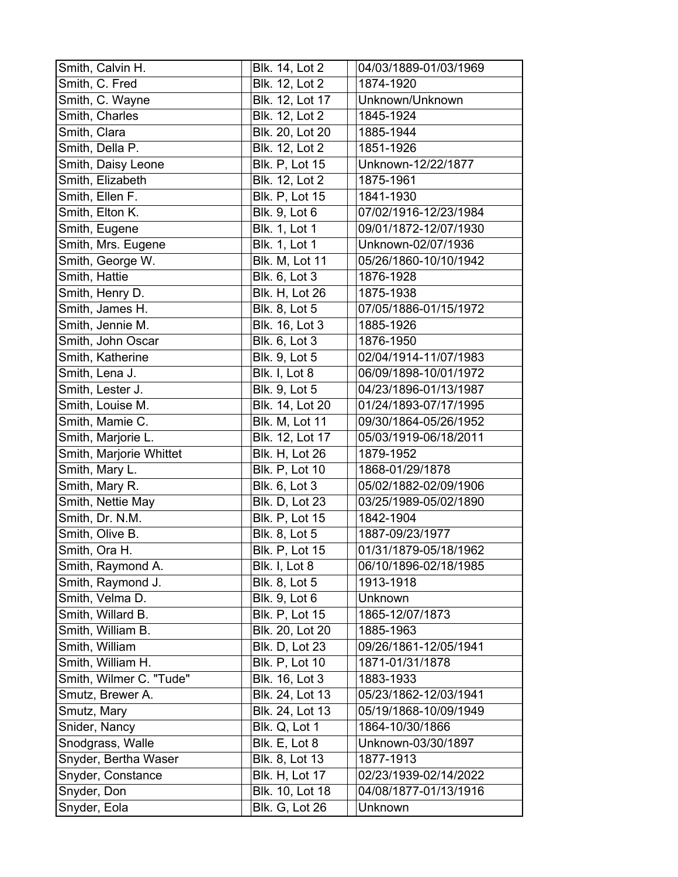| Smith, Calvin H.        | Blk. 14, Lot 2        | 04/03/1889-01/03/1969 |
|-------------------------|-----------------------|-----------------------|
| Smith, C. Fred          | Blk. 12, Lot 2        | 1874-1920             |
| Smith, C. Wayne         | Blk. 12, Lot 17       | Unknown/Unknown       |
| Smith, Charles          | Blk. 12, Lot 2        | 1845-1924             |
| Smith, Clara            | Blk. 20, Lot 20       | 1885-1944             |
| Smith, Della P.         | Blk. 12, Lot 2        | 1851-1926             |
| Smith, Daisy Leone      | <b>Blk. P, Lot 15</b> | Unknown-12/22/1877    |
| Smith, Elizabeth        | Blk. 12, Lot 2        | 1875-1961             |
| Smith, Ellen F.         | <b>Blk. P, Lot 15</b> | 1841-1930             |
| Smith, Elton K.         | <b>Blk. 9, Lot 6</b>  | 07/02/1916-12/23/1984 |
| Smith, Eugene           | <b>Blk. 1, Lot 1</b>  | 09/01/1872-12/07/1930 |
| Smith, Mrs. Eugene      | <b>Blk. 1, Lot 1</b>  | Unknown-02/07/1936    |
| Smith, George W.        | <b>Blk. M, Lot 11</b> | 05/26/1860-10/10/1942 |
| Smith, Hattie           | <b>Blk. 6, Lot 3</b>  | 1876-1928             |
| Smith, Henry D.         | <b>Blk. H, Lot 26</b> | 1875-1938             |
| Smith, James H.         | <b>Blk. 8, Lot 5</b>  | 07/05/1886-01/15/1972 |
| Smith, Jennie M.        | Blk. 16, Lot 3        | 1885-1926             |
| Smith, John Oscar       | <b>Blk. 6, Lot 3</b>  | 1876-1950             |
| Smith, Katherine        | <b>Blk. 9, Lot 5</b>  | 02/04/1914-11/07/1983 |
| Smith, Lena J.          | Blk. I, Lot 8         | 06/09/1898-10/01/1972 |
| Smith, Lester J.        | <b>Blk. 9, Lot 5</b>  | 04/23/1896-01/13/1987 |
| Smith, Louise M.        | Blk. 14, Lot 20       | 01/24/1893-07/17/1995 |
| Smith, Mamie C.         | Blk. M, Lot 11        | 09/30/1864-05/26/1952 |
| Smith, Marjorie L.      | Blk. 12, Lot 17       | 05/03/1919-06/18/2011 |
| Smith, Marjorie Whittet | <b>Blk. H, Lot 26</b> | 1879-1952             |
| Smith, Mary L.          | <b>Blk. P, Lot 10</b> | 1868-01/29/1878       |
| Smith, Mary R.          | Blk. 6, Lot 3         | 05/02/1882-02/09/1906 |
| Smith, Nettie May       | <b>Blk. D, Lot 23</b> | 03/25/1989-05/02/1890 |
| Smith, Dr. N.M.         | <b>Blk. P, Lot 15</b> | 1842-1904             |
| Smith, Olive B.         | Blk. 8, Lot 5         | 1887-09/23/1977       |
| Smith, Ora H.           | <b>Blk. P, Lot 15</b> | 01/31/1879-05/18/1962 |
| Smith, Raymond A.       | Blk. I, Lot 8         | 06/10/1896-02/18/1985 |
| Smith, Raymond J.       | <b>Blk. 8, Lot 5</b>  | 1913-1918             |
| Smith, Velma D.         | <b>Blk. 9, Lot 6</b>  | Unknown               |
| Smith, Willard B.       | <b>Blk. P, Lot 15</b> | 1865-12/07/1873       |
| Smith, William B.       | Blk. 20, Lot 20       | 1885-1963             |
| Smith, William          | <b>Blk. D, Lot 23</b> | 09/26/1861-12/05/1941 |
| Smith, William H.       | <b>Blk. P, Lot 10</b> | 1871-01/31/1878       |
| Smith, Wilmer C. "Tude" | Blk. 16, Lot 3        | 1883-1933             |
| Smutz, Brewer A.        | Blk. 24, Lot 13       | 05/23/1862-12/03/1941 |
| Smutz, Mary             | Blk. 24, Lot 13       | 05/19/1868-10/09/1949 |
| Snider, Nancy           | Blk. Q, Lot 1         | 1864-10/30/1866       |
| Snodgrass, Walle        | Blk. E, Lot 8         | Unknown-03/30/1897    |
| Snyder, Bertha Waser    | Blk. 8, Lot 13        | 1877-1913             |
| Snyder, Constance       | <b>Blk. H, Lot 17</b> | 02/23/1939-02/14/2022 |
| Snyder, Don             | Blk. 10, Lot 18       | 04/08/1877-01/13/1916 |
| Snyder, Eola            | Blk. G, Lot 26        | Unknown               |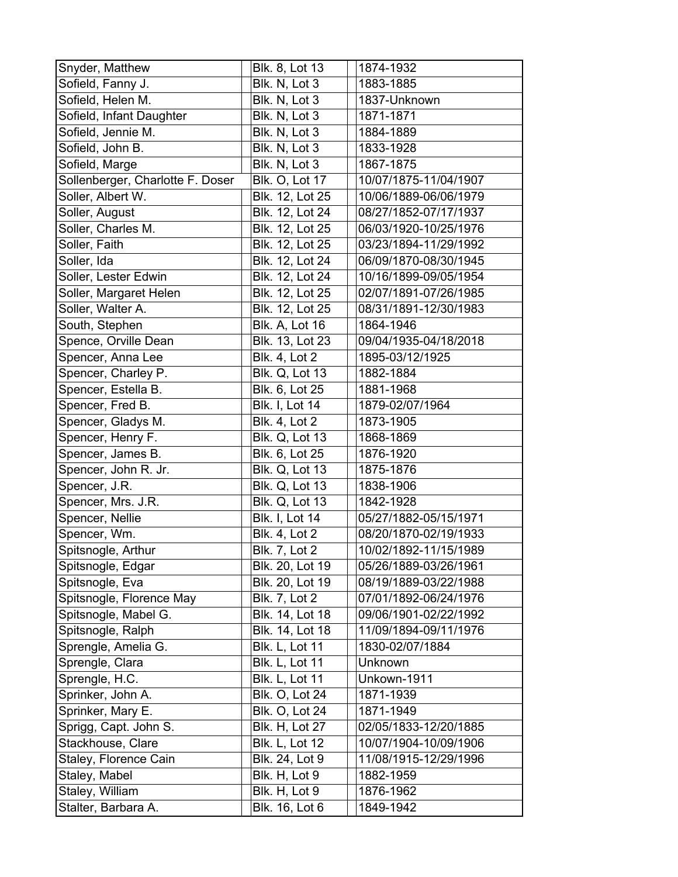| Snyder, Matthew                  | Blk. 8, Lot 13        | 1874-1932             |
|----------------------------------|-----------------------|-----------------------|
| Sofield, Fanny J.                | Blk. N, Lot 3         | 1883-1885             |
| Sofield, Helen M.                | Blk. N, Lot 3         | 1837-Unknown          |
| Sofield, Infant Daughter         | Blk. N, Lot 3         | 1871-1871             |
| Sofield, Jennie M.               | Blk. N, Lot 3         | 1884-1889             |
| Sofield, John B.                 | Blk. N, Lot 3         | 1833-1928             |
| Sofield, Marge                   | Blk. N, Lot 3         | 1867-1875             |
| Sollenberger, Charlotte F. Doser | <b>Blk. O, Lot 17</b> | 10/07/1875-11/04/1907 |
| Soller, Albert W.                | Blk. 12, Lot 25       | 10/06/1889-06/06/1979 |
| Soller, August                   | Blk. 12, Lot 24       | 08/27/1852-07/17/1937 |
| Soller, Charles M.               | Blk. 12, Lot 25       | 06/03/1920-10/25/1976 |
| Soller, Faith                    | Blk. 12, Lot 25       | 03/23/1894-11/29/1992 |
| Soller, Ida                      | Blk. 12, Lot 24       | 06/09/1870-08/30/1945 |
| Soller, Lester Edwin             | Blk. 12, Lot 24       | 10/16/1899-09/05/1954 |
| Soller, Margaret Helen           | Blk. 12, Lot 25       | 02/07/1891-07/26/1985 |
| Soller, Walter A.                | Blk. 12, Lot 25       | 08/31/1891-12/30/1983 |
| South, Stephen                   | <b>Blk. A, Lot 16</b> | 1864-1946             |
| Spence, Orville Dean             | Blk. 13, Lot 23       | 09/04/1935-04/18/2018 |
| Spencer, Anna Lee                | <b>Blk. 4, Lot 2</b>  | 1895-03/12/1925       |
| Spencer, Charley P.              | <b>Blk. Q, Lot 13</b> | 1882-1884             |
| Spencer, Estella B.              | Blk. 6, Lot 25        | 1881-1968             |
| Spencer, Fred B.                 | <b>Blk. I, Lot 14</b> | 1879-02/07/1964       |
| Spencer, Gladys M.               | <b>Blk. 4, Lot 2</b>  | 1873-1905             |
| Spencer, Henry F.                | <b>Blk. Q, Lot 13</b> | 1868-1869             |
| Spencer, James B.                | Blk. 6, Lot 25        | 1876-1920             |
| Spencer, John R. Jr.             | <b>Blk. Q, Lot 13</b> | 1875-1876             |
| Spencer, J.R.                    | <b>Blk. Q, Lot 13</b> | 1838-1906             |
| Spencer, Mrs. J.R.               | <b>Blk. Q, Lot 13</b> | 1842-1928             |
| Spencer, Nellie                  | <b>Blk. I, Lot 14</b> | 05/27/1882-05/15/1971 |
| Spencer, Wm.                     | <b>Blk. 4, Lot 2</b>  | 08/20/1870-02/19/1933 |
| Spitsnogle, Arthur               | <b>Blk. 7, Lot 2</b>  | 10/02/1892-11/15/1989 |
| Spitsnogle, Edgar                | Blk. 20, Lot 19       | 05/26/1889-03/26/1961 |
| Spitsnogle, Eva                  | Blk. 20, Lot 19       | 08/19/1889-03/22/1988 |
| Spitsnogle, Florence May         | Blk. 7, Lot 2         | 07/01/1892-06/24/1976 |
| Spitsnogle, Mabel G.             | Blk. 14, Lot 18       | 09/06/1901-02/22/1992 |
| Spitsnogle, Ralph                | Blk. 14, Lot 18       | 11/09/1894-09/11/1976 |
| Sprengle, Amelia G.              | <b>Blk. L, Lot 11</b> | 1830-02/07/1884       |
| Sprengle, Clara                  | <b>Blk. L, Lot 11</b> | <b>Unknown</b>        |
| Sprengle, H.C.                   | <b>Blk. L, Lot 11</b> | Unkown-1911           |
| Sprinker, John A.                | <b>Blk. O, Lot 24</b> | 1871-1939             |
| Sprinker, Mary E.                | <b>Blk. O, Lot 24</b> | 1871-1949             |
| Sprigg, Capt. John S.            | <b>Blk. H, Lot 27</b> | 02/05/1833-12/20/1885 |
| Stackhouse, Clare                | Blk. L, Lot 12        | 10/07/1904-10/09/1906 |
| Staley, Florence Cain            | Blk. 24, Lot 9        | 11/08/1915-12/29/1996 |
| Staley, Mabel                    | Blk. H, Lot 9         | 1882-1959             |
| Staley, William                  | Blk. H, Lot 9         | 1876-1962             |
| Stalter, Barbara A.              | Blk. 16, Lot 6        | 1849-1942             |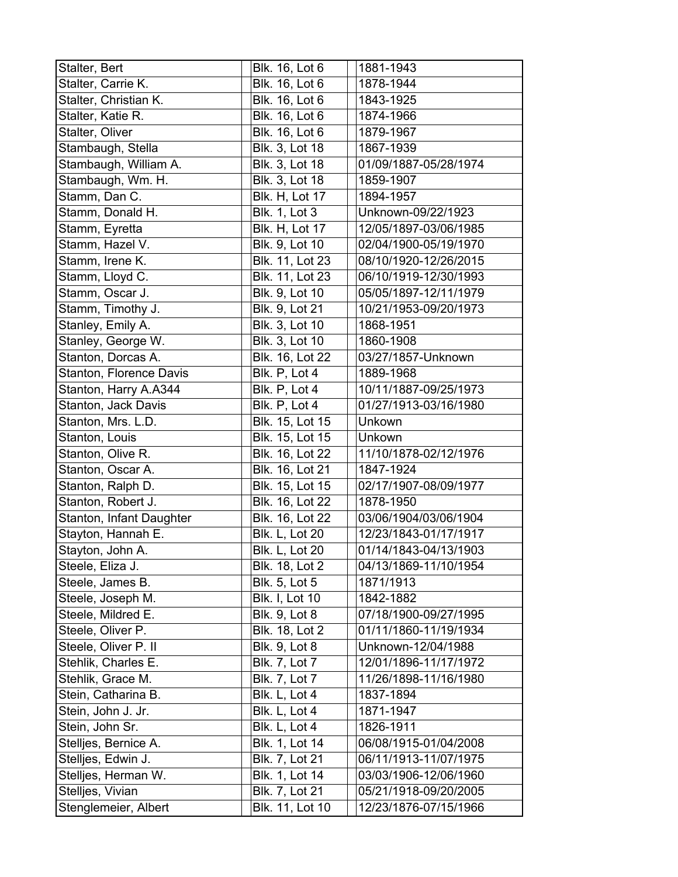| Stalter, Bert            | Blk. 16, Lot 6        | 1881-1943             |
|--------------------------|-----------------------|-----------------------|
| Stalter, Carrie K.       | Blk. 16, Lot 6        | 1878-1944             |
| Stalter, Christian K.    | Blk. 16, Lot 6        | 1843-1925             |
| Stalter, Katie R.        | Blk. 16, Lot 6        | 1874-1966             |
| Stalter, Oliver          | Blk. 16, Lot 6        | 1879-1967             |
| Stambaugh, Stella        | Blk. 3, Lot 18        | 1867-1939             |
| Stambaugh, William A.    | Blk. 3, Lot 18        | 01/09/1887-05/28/1974 |
| Stambaugh, Wm. H.        | Blk. 3, Lot 18        | 1859-1907             |
| Stamm, Dan C.            | <b>Blk. H, Lot 17</b> | 1894-1957             |
| Stamm, Donald H.         | <b>Blk. 1, Lot 3</b>  | Unknown-09/22/1923    |
| Stamm, Eyretta           | <b>Blk. H, Lot 17</b> | 12/05/1897-03/06/1985 |
| Stamm, Hazel V.          | Blk. 9, Lot 10        | 02/04/1900-05/19/1970 |
| Stamm, Irene K.          | Blk. 11, Lot 23       | 08/10/1920-12/26/2015 |
| Stamm, Lloyd C.          | Blk. 11, Lot 23       | 06/10/1919-12/30/1993 |
| Stamm, Oscar J.          | Blk. 9, Lot 10        | 05/05/1897-12/11/1979 |
| Stamm, Timothy J.        | Blk. 9, Lot 21        | 10/21/1953-09/20/1973 |
| Stanley, Emily A.        | Blk. 3, Lot 10        | 1868-1951             |
| Stanley, George W.       | Blk. 3, Lot 10        | 1860-1908             |
| Stanton, Dorcas A.       | Blk. 16, Lot 22       | 03/27/1857-Unknown    |
| Stanton, Florence Davis  | Blk. P, Lot 4         | 1889-1968             |
| Stanton, Harry A.A344    | Blk. P, Lot 4         | 10/11/1887-09/25/1973 |
| Stanton, Jack Davis      | Blk. P, Lot 4         | 01/27/1913-03/16/1980 |
| Stanton, Mrs. L.D.       | Blk. 15, Lot 15       | Unkown                |
| Stanton, Louis           | Blk. 15, Lot 15       | Unkown                |
| Stanton, Olive R.        | Blk. 16, Lot 22       | 11/10/1878-02/12/1976 |
| Stanton, Oscar A.        | Blk. 16, Lot 21       | 1847-1924             |
| Stanton, Ralph D.        | Blk. 15, Lot 15       | 02/17/1907-08/09/1977 |
| Stanton, Robert J.       | Blk. 16, Lot 22       | 1878-1950             |
| Stanton, Infant Daughter | Blk. 16, Lot 22       | 03/06/1904/03/06/1904 |
| Stayton, Hannah E.       | <b>Blk. L, Lot 20</b> | 12/23/1843-01/17/1917 |
| Stayton, John A.         | <b>Blk. L, Lot 20</b> | 01/14/1843-04/13/1903 |
| Steele, Eliza J.         | Blk. 18, Lot 2        | 04/13/1869-11/10/1954 |
| Steele, James B.         | <b>Blk. 5, Lot 5</b>  | 1871/1913             |
| Steele, Joseph M.        | Blk. I, Lot 10        | 1842-1882             |
| Steele, Mildred E.       | Blk. 9, Lot 8         | 07/18/1900-09/27/1995 |
| Steele, Oliver P.        | <b>Blk. 18, Lot 2</b> | 01/11/1860-11/19/1934 |
| Steele, Oliver P. II     | <b>Blk. 9, Lot 8</b>  | Unknown-12/04/1988    |
| Stehlik, Charles E.      | Blk. 7, Lot 7         | 12/01/1896-11/17/1972 |
| Stehlik, Grace M.        | <b>Blk. 7, Lot 7</b>  | 11/26/1898-11/16/1980 |
| Stein, Catharina B.      | Blk. L, Lot 4         | 1837-1894             |
| Stein, John J. Jr.       | Blk. L, Lot 4         | 1871-1947             |
| Stein, John Sr.          | Blk. L, Lot 4         | 1826-1911             |
| Stelljes, Bernice A.     | Blk. 1, Lot 14        | 06/08/1915-01/04/2008 |
| Stelljes, Edwin J.       | Blk. 7, Lot 21        | 06/11/1913-11/07/1975 |
| Stelljes, Herman W.      | Blk. 1, Lot 14        | 03/03/1906-12/06/1960 |
| Stelljes, Vivian         | Blk. 7, Lot 21        | 05/21/1918-09/20/2005 |
| Stenglemeier, Albert     | Blk. 11, Lot 10       | 12/23/1876-07/15/1966 |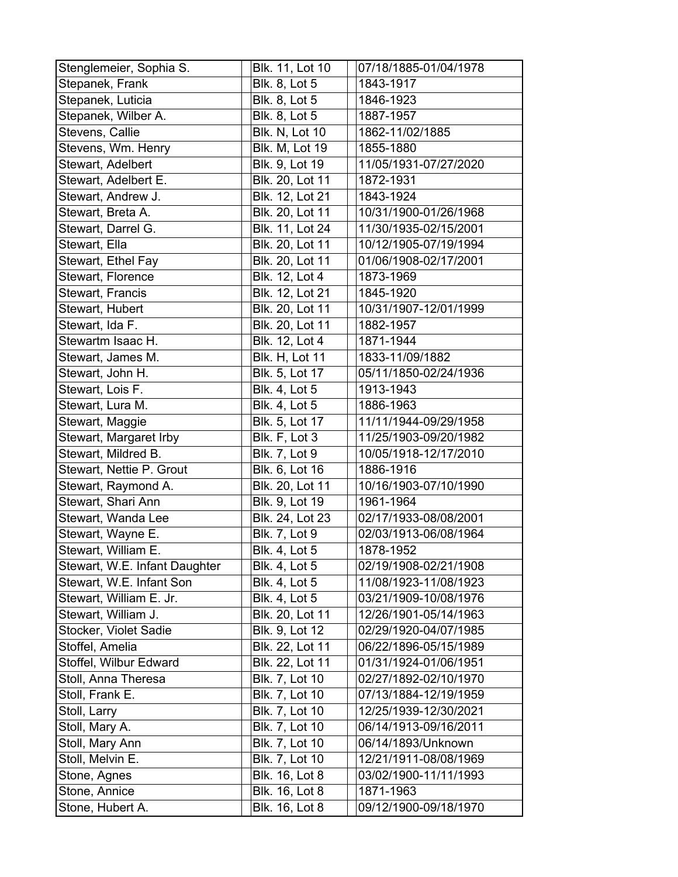| Stenglemeier, Sophia S.       | Blk. 11, Lot 10       | 07/18/1885-01/04/1978 |
|-------------------------------|-----------------------|-----------------------|
| Stepanek, Frank               | <b>Blk. 8, Lot 5</b>  | 1843-1917             |
| Stepanek, Luticia             | Blk. 8, Lot 5         | 1846-1923             |
| Stepanek, Wilber A.           | <b>Blk. 8, Lot 5</b>  | 1887-1957             |
| Stevens, Callie               | <b>Blk. N, Lot 10</b> | 1862-11/02/1885       |
| Stevens, Wm. Henry            | <b>Blk. M, Lot 19</b> | 1855-1880             |
| Stewart, Adelbert             | Blk. 9, Lot 19        | 11/05/1931-07/27/2020 |
| Stewart, Adelbert E.          | Blk. 20, Lot 11       | 1872-1931             |
| Stewart, Andrew J.            | Blk. 12, Lot 21       | 1843-1924             |
| Stewart, Breta A.             | Blk. 20, Lot 11       | 10/31/1900-01/26/1968 |
| Stewart, Darrel G.            | Blk. 11, Lot 24       | 11/30/1935-02/15/2001 |
| Stewart, Ella                 | Blk. 20, Lot 11       | 10/12/1905-07/19/1994 |
| Stewart, Ethel Fay            | Blk. 20, Lot 11       | 01/06/1908-02/17/2001 |
| Stewart, Florence             | Blk. 12, Lot 4        | 1873-1969             |
| <b>Stewart, Francis</b>       | Blk. 12, Lot 21       | 1845-1920             |
| Stewart, Hubert               | Blk. 20, Lot 11       | 10/31/1907-12/01/1999 |
| Stewart, Ida F.               | Blk. 20, Lot 11       | 1882-1957             |
| Stewartm Isaac H.             | Blk. 12, Lot 4        | 1871-1944             |
| Stewart, James M.             | <b>Blk. H, Lot 11</b> | 1833-11/09/1882       |
| Stewart, John H.              | Blk. 5, Lot 17        | 05/11/1850-02/24/1936 |
| Stewart, Lois F.              | <b>Blk. 4, Lot 5</b>  | 1913-1943             |
| Stewart, Lura M.              | <b>Blk. 4, Lot 5</b>  | 1886-1963             |
| Stewart, Maggie               | Blk. 5, Lot 17        | 11/11/1944-09/29/1958 |
| Stewart, Margaret Irby        | Blk. F, Lot 3         | 11/25/1903-09/20/1982 |
| Stewart, Mildred B.           | <b>Blk. 7, Lot 9</b>  | 10/05/1918-12/17/2010 |
| Stewart, Nettie P. Grout      | Blk. 6, Lot 16        | 1886-1916             |
| Stewart, Raymond A.           | Blk. 20, Lot 11       | 10/16/1903-07/10/1990 |
| Stewart, Shari Ann            | Blk. 9, Lot 19        | 1961-1964             |
| Stewart, Wanda Lee            | Blk. 24, Lot 23       | 02/17/1933-08/08/2001 |
| Stewart, Wayne E.             | <b>Blk. 7, Lot 9</b>  | 02/03/1913-06/08/1964 |
| Stewart, William E.           | <b>Blk. 4, Lot 5</b>  | 1878-1952             |
| Stewart, W.E. Infant Daughter | <b>Blk. 4, Lot 5</b>  | 02/19/1908-02/21/1908 |
| Stewart, W.E. Infant Son      | <b>Blk. 4, Lot 5</b>  | 11/08/1923-11/08/1923 |
| Stewart, William E. Jr.       | <b>Blk. 4, Lot 5</b>  | 03/21/1909-10/08/1976 |
| Stewart, William J.           | Blk. 20, Lot 11       | 12/26/1901-05/14/1963 |
| Stocker, Violet Sadie         | Blk. 9, Lot 12        | 02/29/1920-04/07/1985 |
| Stoffel, Amelia               | Blk. 22, Lot 11       | 06/22/1896-05/15/1989 |
| Stoffel, Wilbur Edward        | Blk. 22, Lot 11       | 01/31/1924-01/06/1951 |
| Stoll, Anna Theresa           | <b>Blk. 7, Lot 10</b> | 02/27/1892-02/10/1970 |
| Stoll, Frank E.               | Blk. 7, Lot 10        | 07/13/1884-12/19/1959 |
| Stoll, Larry                  | Blk. 7, Lot 10        | 12/25/1939-12/30/2021 |
| Stoll, Mary A.                | Blk. 7, Lot 10        | 06/14/1913-09/16/2011 |
| Stoll, Mary Ann               | Blk. 7, Lot 10        | 06/14/1893/Unknown    |
| Stoll, Melvin E.              | <b>Blk. 7, Lot 10</b> | 12/21/1911-08/08/1969 |
| Stone, Agnes                  | Blk. 16, Lot 8        | 03/02/1900-11/11/1993 |
| Stone, Annice                 | Blk. 16, Lot 8        | 1871-1963             |
| Stone, Hubert A.              | Blk. 16, Lot 8        | 09/12/1900-09/18/1970 |